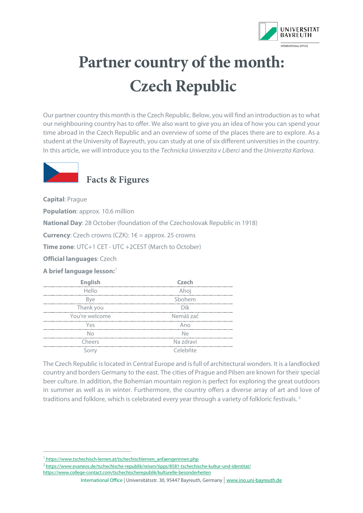

## **Partner country of the month: Czech Republic**

Our partner country this month is the Czech Republic. Below, you will find an introduction asto what our neighbouring country has to offer. We also want to give you an idea of how you can spend your time abroad in the Czech Republic and an overview of some of the places there are to explore. As a student at the University of Bayreuth, you can study at one of six different universities in the country. In this article, we will introduce you to the *Technicka Univerzita v Liberci* and the *Univerzita Karlova*.



## **Facts & Figures**

**Capital**: Prague

**Population**: approx. 10.6 million

**National Day**: 28 October (foundation of the Czechoslovak Republic in 1918)

**Currency**: Czech crowns (CZK): 1€ = approx. 25 crowns

**Time zone**: UTC+1 CET - UTC +2CEST (March to October)

**Official languages**: Czech

**A brief language lesson:**[1](#page-0-0)

| <b>English</b> | $C$ zech      |
|----------------|---------------|
| Hello          | Ahoi<br>      |
| Bve            | Shohem        |
| Thank you      | Dík           |
| You're welcome | Nemáš zač     |
| Yes            | Ann           |
| NΙn            | N۵            |
| Cheers         | Na zdraví<br> |
|                | Celebňte      |

The Czech Republic is located in Central Europe and isfull of architectural wonders. It is a landlocked country and borders Germany to the east. The cities of Prague and Pilsen are known for their special beer culture. In addition, the Bohemian mountain region is perfect for exploring the great outdoors in summer as well as in winter. Furthermore, the country offers a diverse array of art and love of traditions and folklore, which is celebrated every year through a variety of folkloric festivals. 2

- [2 https://www.evaneos.de/tschechische-republik/reisen/tipps/8581-tschechische-kultur-und-identitat/](https://www.evaneos.de/tschechische-republik/reisen/tipps/8581-tschechische-kultur-und-identitat/)
- <https://www.college-contact.com/tschechischerepublik/kulturelle-besonderheiten>

International Office | Universitätsstr. 30, 95447 Bayreuth, Germany | [www.ino.uni-bayreuth.de](http://www.ino.uni-bayreuth.de/)

<span id="page-0-0"></span><sup>&</sup>lt;sup>1</sup>https://www.tschechisch-lernen.at/tschechischlernen\_anfaengerinnen.php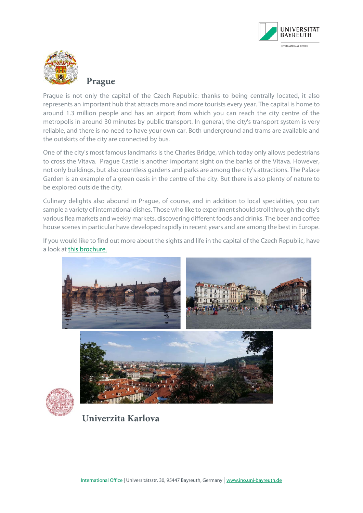



**Prague**

Prague is not only the capital of the Czech Republic: thanks to being centrally located, it also represents an important hub that attracts more and more tourists every year. The capital is home to around 1.3 million people and has an airport from which you can reach the city centre of the metropolis in around 30 minutes by public transport. In general, the city's transport system is very reliable, and there is no need to have your own car. Both underground and trams are available and the outskirts of the city are connected by bus.

One of the city's most famous landmarks is the Charles Bridge, which today only allows pedestrians to cross the Vltava. Prague Castle is another important sight on the banks of the Vltava. However, not only buildings, but also countless gardens and parks are among the city's attractions. The Palace Garden is an example of a green oasis in the centre of the city. But there is also plenty of nature to be explored outside the city.

Culinary delights also abound in Prague, of course, and in addition to local specialities, you can sample a variety of international dishes. Those who like to experiment should stroll through the city's various flea markets and weekly markets, discovering different foods and drinks. The beer and coffee house scenes in particular have developed rapidly in recent years and are among the best in Europe.

If you would like to find out more about the sights and life in the capital of the Czech Republic, have a look at [this brochure.](https://eshop.prague.eu/catalog/de/brozury-mapy-prag-fur-die-hosentasche/p400234icvstupenky.html)





**Univerzita Karlova**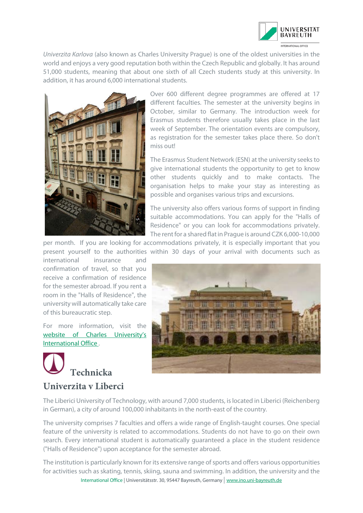

*Univerzita Karlova* (also known as Charles University Prague) is one of the oldest universities in the world and enjoys a very good reputation both within the Czech Republic and globally. It has around 51,000 students, meaning that about one sixth of all Czech students study at this university. In addition, it has around 6,000 international students.



Over 600 different degree programmes are offered at 17 different faculties. The semester at the university begins in October, similar to Germany. The introduction week for Erasmus students therefore usually takes place in the last week of September. The orientation events are compulsory, as registration for the semester takes place there. So don't miss out!

The Erasmus Student Network (ESN) at the university seeks to give international students the opportunity to get to know other students quickly and to make contacts. The organisation helps to make your stay as interesting as possible and organises various trips and excursions.

The university also offers various forms of support in finding suitable accommodations. You can apply for the "Halls of Residence" or you can look for accommodations privately. The rent for a shared flat in Prague is around CZK 6,000-10,000

per month. If you are looking for accommodations privately, it is especially important that you present yourself to the authorities within 30 days of your arrival with documents such as

international insurance and confirmation of travel, so that you receive a confirmation of residence for the semester abroad. If you rent a room in the "Halls of Residence", the university will automatically take care of this bureaucratic step.

For more information, visit the [website of Charles University's](http://www.erasmus.ff.cuni.cz/) [International Office .](http://www.erasmus.ff.cuni.cz/)

## **Technicka Univerzita v Liberci**



The Liberici University of Technology, with around 7,000 students, is located in Liberici (Reichenberg in German), a city of around 100,000 inhabitants in the north-east of the country.

The university comprises 7 faculties and offers a wide range of English-taught courses. One special feature of the university is related to accommodations. Students do not have to go on their own search. Every international student is automatically guaranteed a place in the student residence ("Halls of Residence") upon acceptance for the semester abroad.

International Office | Universitätsstr. 30, 95447 Bayreuth, Germany | [www.ino.uni-bayreuth.de](http://www.ino.uni-bayreuth.de/) The institution is particularly known for its extensive range of sports and offers various opportunities for activities such as skating, tennis, skiing, sauna and swimming. In addition, the university and the